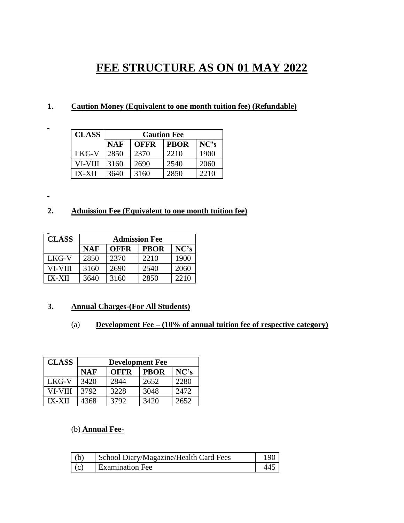# **FEE STRUCTURE AS ON 01 MAY 2022**

## **1. Caution Money (Equivalent to one month tuition fee) (Refundable)**

| <b>CLASS</b>  | <b>Caution Fee</b> |             |             |      |
|---------------|--------------------|-------------|-------------|------|
|               | <b>NAF</b>         | <b>OFFR</b> | <b>PBOR</b> | NC's |
| LKG-V         | 2850               | 2370        | 2210        | 1900 |
| VI-VIII       | 3160               | 2690        | 2540        | 2060 |
| <b>IX-XII</b> | 3640               | 3160        | 2850        | 2210 |

## **2. Admission Fee (Equivalent to one month tuition fee)**

| <b>CLASS</b>  | <b>Admission Fee</b> |             |             |      |
|---------------|----------------------|-------------|-------------|------|
|               | <b>NAF</b>           | <b>OFFR</b> | <b>PBOR</b> | NC's |
| LKG-V         | 2850                 | 2370        | 2210        | 1900 |
| VI-VIII       | 3160                 | 2690        | 2540        | 2060 |
| <b>IX-XII</b> | 3640                 | 3160        | 2850        | 2210 |

 $\blacksquare$ 

 $\blacksquare$ 

## **3. Annual Charges-(For All Students)**

## (a) **Development Fee – (10% of annual tuition fee of respective category)**

| <b>CLASS</b>  | <b>Development Fee</b> |             |             |      |
|---------------|------------------------|-------------|-------------|------|
|               | NAF                    | <b>OFFR</b> | <b>PBOR</b> | NC's |
| LKG-V         | 3420                   | 2844        | 2652        | 2280 |
| VI-VIII       | 3792                   | 3228        | 3048        | 2472 |
| <b>IX-XII</b> | 4368                   | 3792        | 3420        | 2652 |

### (b) **Annual Fee-**

| (h) | School Diary/Magazine/Health Card Fees |  |
|-----|----------------------------------------|--|
| (c) | Examination Fee                        |  |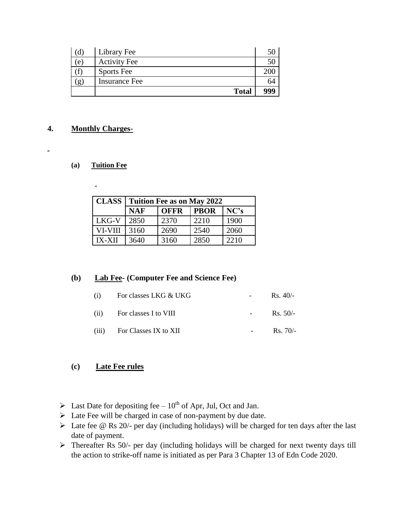|    | Library Fee          |     |
|----|----------------------|-----|
| e  | <b>Activity Fee</b>  |     |
|    | <b>Sports</b> Fee    |     |
| g, | <b>Insurance Fee</b> | D4  |
|    | <b>Total</b>         | 999 |

## **4. Monthly Charges-**

 $\blacksquare$ 

#### **(a) Tuition Fee**

 $\ddot{\phantom{1}}$ 

| <b>CLASS</b>  | <b>Tuition Fee as on May 2022</b> |             |             |      |
|---------------|-----------------------------------|-------------|-------------|------|
|               | <b>NAF</b>                        | <b>OFFR</b> | <b>PBOR</b> | NC's |
| LKG-V         | 2850                              | 2370        | 2210        | 1900 |
| VI-VIII       | 3160                              | 2690        | 2540        | 2060 |
| <b>IX-XII</b> | 3640                              | 3160        | 2850        | 2210 |

## **(b) Lab Fee- (Computer Fee and Science Fee)**

| (1)  | For classes LKG & UKG         |                  | $Rs.40/-$  |
|------|-------------------------------|------------------|------------|
| (11) | For classes I to VIII         | $\sim$ 100 $\mu$ | $Rs. 50/-$ |
|      | $(iii)$ For Classes IX to XII |                  | $Rs.70/-$  |

### **(c) Late Fee rules**

- $\triangleright$  Last Date for depositing fee 10<sup>th</sup> of Apr, Jul, Oct and Jan.
- Late Fee will be charged in case of non-payment by due date.
- Late fee @ Rs 20/- per day (including holidays) will be charged for ten days after the last date of payment.
- $\triangleright$  Thereafter Rs 50/- per day (including holidays will be charged for next twenty days till the action to strike-off name is initiated as per Para 3 Chapter 13 of Edn Code 2020.